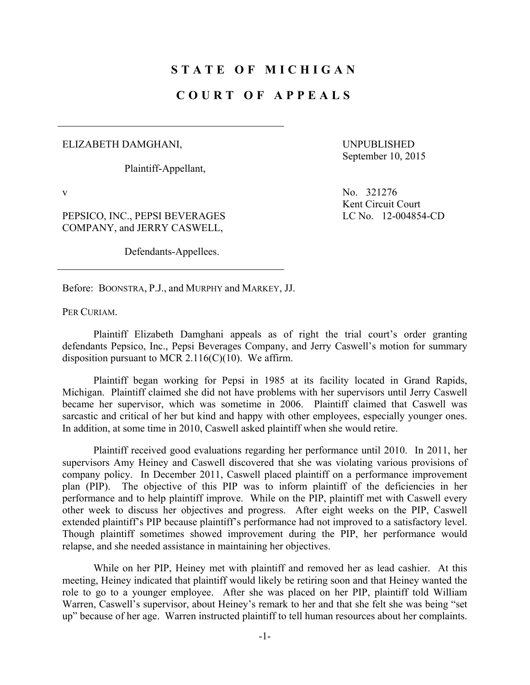## **STATE OF MICHIGAN**

## **COURT OF APPEALS**

## ELIZABETH DAMGHANI,

Plaintiff-Appellant,

UNPUBLISHED September 10, 2015

PEPSICO, INC., PEPSI BEVERAGES COMPANY, and JERRY CASWELL,

Defendants-Appellees.

v No. 321276 Kent Circuit Court LC No. 12-004854-CD

Before: BOONSTRA, P.J., and MURPHY and MARKEY, JJ.

PER CURIAM.

 Plaintiff Elizabeth Damghani appeals as of right the trial court's order granting defendants Pepsico, Inc., Pepsi Beverages Company, and Jerry Caswell's motion for summary disposition pursuant to MCR 2.116(C)(10). We affirm.

 Plaintiff began working for Pepsi in 1985 at its facility located in Grand Rapids, Michigan. Plaintiff claimed she did not have problems with her supervisors until Jerry Caswell became her supervisor, which was sometime in 2006. Plaintiff claimed that Caswell was sarcastic and critical of her but kind and happy with other employees, especially younger ones. In addition, at some time in 2010, Caswell asked plaintiff when she would retire.

 Plaintiff received good evaluations regarding her performance until 2010. In 2011, her supervisors Amy Heiney and Caswell discovered that she was violating various provisions of company policy. In December 2011, Caswell placed plaintiff on a performance improvement plan (PIP). The objective of this PIP was to inform plaintiff of the deficiencies in her performance and to help plaintiff improve. While on the PIP, plaintiff met with Caswell every other week to discuss her objectives and progress. After eight weeks on the PIP, Caswell extended plaintiff's PIP because plaintiff's performance had not improved to a satisfactory level. Though plaintiff sometimes showed improvement during the PIP, her performance would relapse, and she needed assistance in maintaining her objectives.

 While on her PIP, Heiney met with plaintiff and removed her as lead cashier. At this meeting, Heiney indicated that plaintiff would likely be retiring soon and that Heiney wanted the role to go to a younger employee. After she was placed on her PIP, plaintiff told William Warren, Caswell's supervisor, about Heiney's remark to her and that she felt she was being "set up" because of her age. Warren instructed plaintiff to tell human resources about her complaints.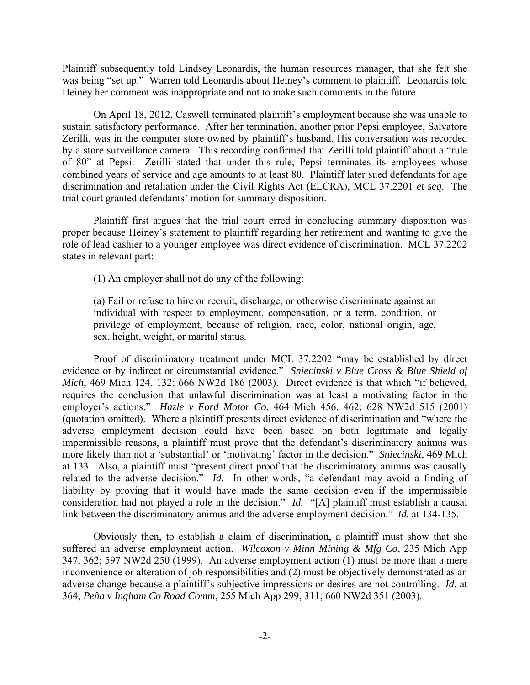Plaintiff subsequently told Lindsey Leonardis, the human resources manager, that she felt she was being "set up." Warren told Leonardis about Heiney's comment to plaintiff. Leonardis told Heiney her comment was inappropriate and not to make such comments in the future.

 On April 18, 2012, Caswell terminated plaintiff's employment because she was unable to sustain satisfactory performance. After her termination, another prior Pepsi employee, Salvatore Zerilli, was in the computer store owned by plaintiff's husband. His conversation was recorded by a store surveillance camera. This recording confirmed that Zerilli told plaintiff about a "rule of 80" at Pepsi. Zerilli stated that under this rule, Pepsi terminates its employees whose combined years of service and age amounts to at least 80. Plaintiff later sued defendants for age discrimination and retaliation under the Civil Rights Act (ELCRA), MCL 37.2201 *et seq*. The trial court granted defendants' motion for summary disposition.

 Plaintiff first argues that the trial court erred in concluding summary disposition was proper because Heiney's statement to plaintiff regarding her retirement and wanting to give the role of lead cashier to a younger employee was direct evidence of discrimination. MCL 37.2202 states in relevant part:

(1) An employer shall not do any of the following:

(a) Fail or refuse to hire or recruit, discharge, or otherwise discriminate against an individual with respect to employment, compensation, or a term, condition, or privilege of employment, because of religion, race, color, national origin, age, sex, height, weight, or marital status.

 Proof of discriminatory treatment under MCL 37.2202 "may be established by direct evidence or by indirect or circumstantial evidence." *Sniecinski v Blue Cross & Blue Shield of Mich*, 469 Mich 124, 132; 666 NW2d 186 (2003). Direct evidence is that which "if believed, requires the conclusion that unlawful discrimination was at least a motivating factor in the employer's actions." *Hazle v Ford Motor Co*, 464 Mich 456, 462; 628 NW2d 515 (2001) (quotation omitted). Where a plaintiff presents direct evidence of discrimination and "where the adverse employment decision could have been based on both legitimate and legally impermissible reasons, a plaintiff must prove that the defendant's discriminatory animus was more likely than not a 'substantial' or 'motivating' factor in the decision." *Sniecinski*, 469 Mich at 133. Also, a plaintiff must "present direct proof that the discriminatory animus was causally related to the adverse decision." *Id.* In other words, "a defendant may avoid a finding of liability by proving that it would have made the same decision even if the impermissible consideration had not played a role in the decision." *Id.* "[A] plaintiff must establish a causal link between the discriminatory animus and the adverse employment decision." *Id.* at 134-135.

 Obviously then, to establish a claim of discrimination, a plaintiff must show that she suffered an adverse employment action. *Wilcoxon v Minn Mining & Mfg Co*, 235 Mich App 347, 362; 597 NW2d 250 (1999). An adverse employment action (1) must be more than a mere inconvenience or alteration of job responsibilities and (2) must be objectively demonstrated as an adverse change because a plaintiff's subjective impressions or desires are not controlling. *Id*. at 364; *Peña v Ingham Co Road Comm*, 255 Mich App 299, 311; 660 NW2d 351 (2003).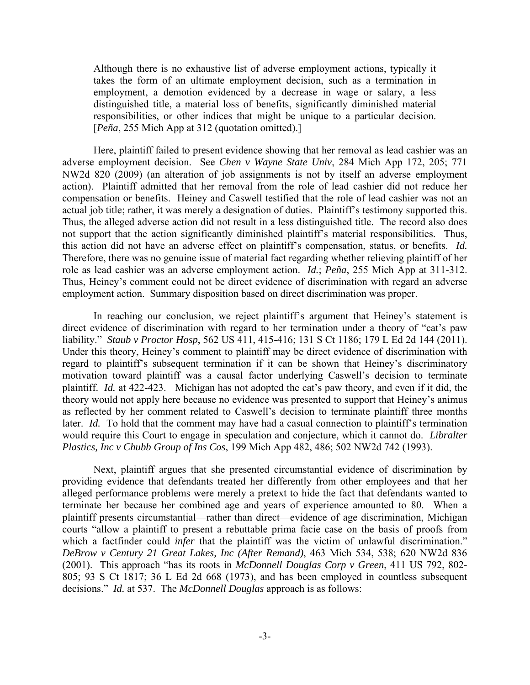Although there is no exhaustive list of adverse employment actions, typically it takes the form of an ultimate employment decision, such as a termination in employment, a demotion evidenced by a decrease in wage or salary, a less distinguished title, a material loss of benefits, significantly diminished material responsibilities, or other indices that might be unique to a particular decision. [*Peña*, 255 Mich App at 312 (quotation omitted).]

Here, plaintiff failed to present evidence showing that her removal as lead cashier was an adverse employment decision. See *Chen v Wayne State Univ*, 284 Mich App 172, 205; 771 NW2d 820 (2009) (an alteration of job assignments is not by itself an adverse employment action). Plaintiff admitted that her removal from the role of lead cashier did not reduce her compensation or benefits. Heiney and Caswell testified that the role of lead cashier was not an actual job title; rather, it was merely a designation of duties. Plaintiff's testimony supported this. Thus, the alleged adverse action did not result in a less distinguished title. The record also does not support that the action significantly diminished plaintiff's material responsibilities. Thus, this action did not have an adverse effect on plaintiff's compensation, status, or benefits. *Id.* Therefore, there was no genuine issue of material fact regarding whether relieving plaintiff of her role as lead cashier was an adverse employment action. *Id.*; *Peña*, 255 Mich App at 311-312. Thus, Heiney's comment could not be direct evidence of discrimination with regard an adverse employment action. Summary disposition based on direct discrimination was proper.

In reaching our conclusion, we reject plaintiff's argument that Heiney's statement is direct evidence of discrimination with regard to her termination under a theory of "cat's paw liability." *Staub v Proctor Hosp*, 562 US 411, 415-416; 131 S Ct 1186; 179 L Ed 2d 144 (2011). Under this theory, Heiney's comment to plaintiff may be direct evidence of discrimination with regard to plaintiff's subsequent termination if it can be shown that Heiney's discriminatory motivation toward plaintiff was a causal factor underlying Caswell's decision to terminate plaintiff. *Id.* at 422-423. Michigan has not adopted the cat's paw theory, and even if it did, the theory would not apply here because no evidence was presented to support that Heiney's animus as reflected by her comment related to Caswell's decision to terminate plaintiff three months later. *Id.* To hold that the comment may have had a casual connection to plaintiff's termination would require this Court to engage in speculation and conjecture, which it cannot do. *Libralter Plastics, Inc v Chubb Group of Ins Cos*, 199 Mich App 482, 486; 502 NW2d 742 (1993).

 Next, plaintiff argues that she presented circumstantial evidence of discrimination by providing evidence that defendants treated her differently from other employees and that her alleged performance problems were merely a pretext to hide the fact that defendants wanted to terminate her because her combined age and years of experience amounted to 80. When a plaintiff presents circumstantial—rather than direct—evidence of age discrimination, Michigan courts "allow a plaintiff to present a rebuttable prima facie case on the basis of proofs from which a factfinder could *infer* that the plaintiff was the victim of unlawful discrimination." *DeBrow v Century 21 Great Lakes, Inc (After Remand)*, 463 Mich 534, 538; 620 NW2d 836 (2001). This approach "has its roots in *McDonnell Douglas Corp v Green*, 411 US 792, 802- 805; 93 S Ct 1817; 36 L Ed 2d 668 (1973), and has been employed in countless subsequent decisions." *Id.* at 537. The *McDonnell Douglas* approach is as follows: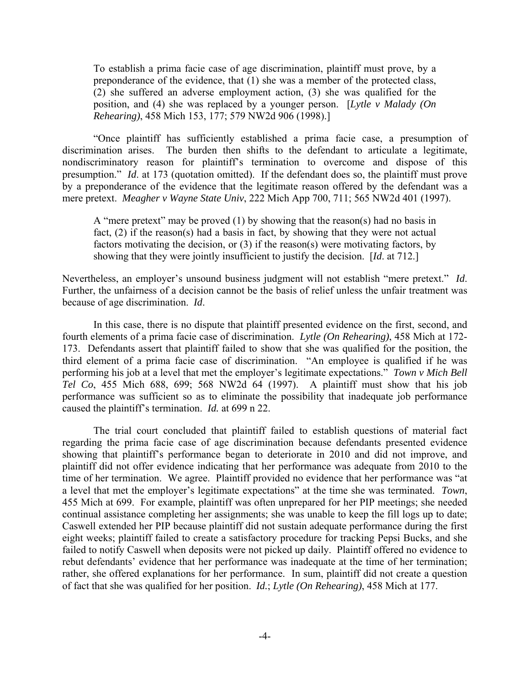To establish a prima facie case of age discrimination, plaintiff must prove, by a preponderance of the evidence, that (1) she was a member of the protected class, (2) she suffered an adverse employment action, (3) she was qualified for the position, and (4) she was replaced by a younger person. [*Lytle v Malady (On Rehearing)*, 458 Mich 153, 177; 579 NW2d 906 (1998).]

"Once plaintiff has sufficiently established a prima facie case, a presumption of discrimination arises. The burden then shifts to the defendant to articulate a legitimate, nondiscriminatory reason for plaintiff's termination to overcome and dispose of this presumption." *Id*. at 173 (quotation omitted). If the defendant does so, the plaintiff must prove by a preponderance of the evidence that the legitimate reason offered by the defendant was a mere pretext. *Meagher v Wayne State Univ*, 222 Mich App 700, 711; 565 NW2d 401 (1997).

A "mere pretext" may be proved (1) by showing that the reason(s) had no basis in fact, (2) if the reason(s) had a basis in fact, by showing that they were not actual factors motivating the decision, or (3) if the reason(s) were motivating factors, by showing that they were jointly insufficient to justify the decision. [*Id*. at 712.]

Nevertheless, an employer's unsound business judgment will not establish "mere pretext." *Id*. Further, the unfairness of a decision cannot be the basis of relief unless the unfair treatment was because of age discrimination. *Id*.

 In this case, there is no dispute that plaintiff presented evidence on the first, second, and fourth elements of a prima facie case of discrimination. *Lytle (On Rehearing)*, 458 Mich at 172- 173. Defendants assert that plaintiff failed to show that she was qualified for the position, the third element of a prima facie case of discrimination. "An employee is qualified if he was performing his job at a level that met the employer's legitimate expectations." *Town v Mich Bell Tel Co*, 455 Mich 688, 699; 568 NW2d 64 (1997). A plaintiff must show that his job performance was sufficient so as to eliminate the possibility that inadequate job performance caused the plaintiff's termination. *Id.* at 699 n 22.

The trial court concluded that plaintiff failed to establish questions of material fact regarding the prima facie case of age discrimination because defendants presented evidence showing that plaintiff's performance began to deteriorate in 2010 and did not improve, and plaintiff did not offer evidence indicating that her performance was adequate from 2010 to the time of her termination. We agree. Plaintiff provided no evidence that her performance was "at a level that met the employer's legitimate expectations" at the time she was terminated. *Town*, 455 Mich at 699. For example, plaintiff was often unprepared for her PIP meetings; she needed continual assistance completing her assignments; she was unable to keep the fill logs up to date; Caswell extended her PIP because plaintiff did not sustain adequate performance during the first eight weeks; plaintiff failed to create a satisfactory procedure for tracking Pepsi Bucks, and she failed to notify Caswell when deposits were not picked up daily. Plaintiff offered no evidence to rebut defendants' evidence that her performance was inadequate at the time of her termination; rather, she offered explanations for her performance. In sum, plaintiff did not create a question of fact that she was qualified for her position. *Id.*; *Lytle (On Rehearing)*, 458 Mich at 177.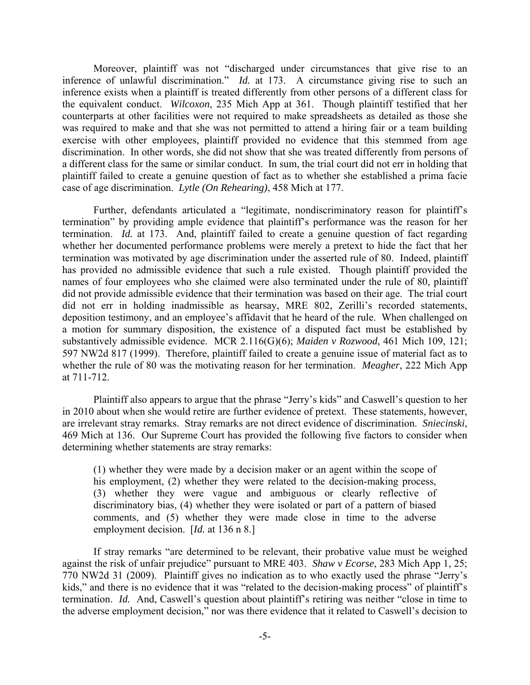Moreover, plaintiff was not "discharged under circumstances that give rise to an inference of unlawful discrimination." *Id.* at 173. A circumstance giving rise to such an inference exists when a plaintiff is treated differently from other persons of a different class for the equivalent conduct. *Wilcoxon*, 235 Mich App at 361. Though plaintiff testified that her counterparts at other facilities were not required to make spreadsheets as detailed as those she was required to make and that she was not permitted to attend a hiring fair or a team building exercise with other employees, plaintiff provided no evidence that this stemmed from age discrimination. In other words, she did not show that she was treated differently from persons of a different class for the same or similar conduct. In sum, the trial court did not err in holding that plaintiff failed to create a genuine question of fact as to whether she established a prima facie case of age discrimination. *Lytle (On Rehearing)*, 458 Mich at 177.

Further, defendants articulated a "legitimate, nondiscriminatory reason for plaintiff's termination" by providing ample evidence that plaintiff's performance was the reason for her termination. *Id.* at 173. And, plaintiff failed to create a genuine question of fact regarding whether her documented performance problems were merely a pretext to hide the fact that her termination was motivated by age discrimination under the asserted rule of 80. Indeed, plaintiff has provided no admissible evidence that such a rule existed. Though plaintiff provided the names of four employees who she claimed were also terminated under the rule of 80, plaintiff did not provide admissible evidence that their termination was based on their age. The trial court did not err in holding inadmissible as hearsay, MRE 802, Zerilli's recorded statements, deposition testimony, and an employee's affidavit that he heard of the rule. When challenged on a motion for summary disposition, the existence of a disputed fact must be established by substantively admissible evidence. MCR 2.116(G)(6); *Maiden v Rozwood*, 461 Mich 109, 121; 597 NW2d 817 (1999). Therefore, plaintiff failed to create a genuine issue of material fact as to whether the rule of 80 was the motivating reason for her termination. *Meagher*, 222 Mich App at 711-712.

Plaintiff also appears to argue that the phrase "Jerry's kids" and Caswell's question to her in 2010 about when she would retire are further evidence of pretext. These statements, however, are irrelevant stray remarks.Stray remarks are not direct evidence of discrimination. *Sniecinski*, 469 Mich at 136. Our Supreme Court has provided the following five factors to consider when determining whether statements are stray remarks:

(1) whether they were made by a decision maker or an agent within the scope of his employment, (2) whether they were related to the decision-making process, (3) whether they were vague and ambiguous or clearly reflective of discriminatory bias, (4) whether they were isolated or part of a pattern of biased comments, and (5) whether they were made close in time to the adverse employment decision. [*Id.* at 136 n 8.]

If stray remarks "are determined to be relevant, their probative value must be weighed against the risk of unfair prejudice" pursuant to MRE 403. *Shaw v Ecorse*, 283 Mich App 1, 25; 770 NW2d 31 (2009). Plaintiff gives no indication as to who exactly used the phrase "Jerry's kids," and there is no evidence that it was "related to the decision-making process" of plaintiff's termination. *Id.* And, Caswell's question about plaintiff's retiring was neither "close in time to the adverse employment decision," nor was there evidence that it related to Caswell's decision to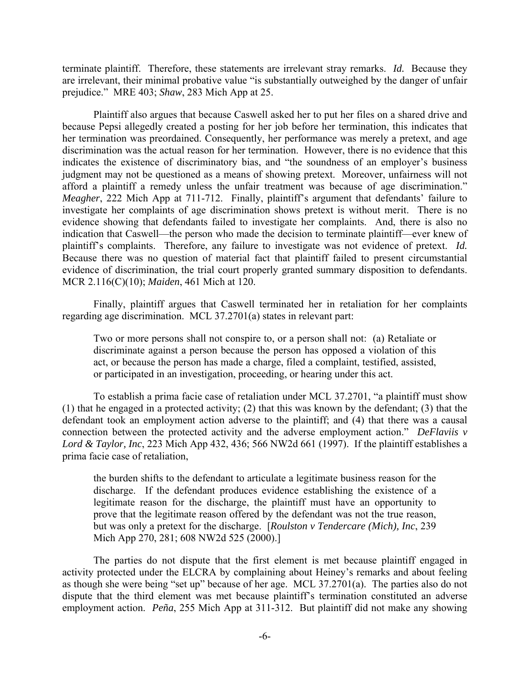terminate plaintiff. Therefore, these statements are irrelevant stray remarks. *Id.* Because they are irrelevant, their minimal probative value "is substantially outweighed by the danger of unfair prejudice." MRE 403; *Shaw*, 283 Mich App at 25.

Plaintiff also argues that because Caswell asked her to put her files on a shared drive and because Pepsi allegedly created a posting for her job before her termination, this indicates that her termination was preordained. Consequently, her performance was merely a pretext, and age discrimination was the actual reason for her termination. However, there is no evidence that this indicates the existence of discriminatory bias, and "the soundness of an employer's business judgment may not be questioned as a means of showing pretext. Moreover, unfairness will not afford a plaintiff a remedy unless the unfair treatment was because of age discrimination." *Meagher*, 222 Mich App at 711-712. Finally, plaintiff's argument that defendants' failure to investigate her complaints of age discrimination shows pretext is without merit. There is no evidence showing that defendants failed to investigate her complaints. And, there is also no indication that Caswell—the person who made the decision to terminate plaintiff—ever knew of plaintiff's complaints. Therefore, any failure to investigate was not evidence of pretext. *Id.* Because there was no question of material fact that plaintiff failed to present circumstantial evidence of discrimination, the trial court properly granted summary disposition to defendants. MCR 2.116(C)(10); *Maiden*, 461 Mich at 120.

Finally, plaintiff argues that Caswell terminated her in retaliation for her complaints regarding age discrimination. MCL 37.2701(a) states in relevant part:

Two or more persons shall not conspire to, or a person shall not: (a) Retaliate or discriminate against a person because the person has opposed a violation of this act, or because the person has made a charge, filed a complaint, testified, assisted, or participated in an investigation, proceeding, or hearing under this act.

 To establish a prima facie case of retaliation under MCL 37.2701, "a plaintiff must show (1) that he engaged in a protected activity; (2) that this was known by the defendant; (3) that the defendant took an employment action adverse to the plaintiff; and (4) that there was a causal connection between the protected activity and the adverse employment action." *DeFlaviis v Lord & Taylor, Inc*, 223 Mich App 432, 436; 566 NW2d 661 (1997). If the plaintiff establishes a prima facie case of retaliation,

the burden shifts to the defendant to articulate a legitimate business reason for the discharge. If the defendant produces evidence establishing the existence of a legitimate reason for the discharge, the plaintiff must have an opportunity to prove that the legitimate reason offered by the defendant was not the true reason, but was only a pretext for the discharge. [*Roulston v Tendercare (Mich), Inc*, 239 Mich App 270, 281; 608 NW2d 525 (2000).]

 The parties do not dispute that the first element is met because plaintiff engaged in activity protected under the ELCRA by complaining about Heiney's remarks and about feeling as though she were being "set up" because of her age. MCL 37.2701(a). The parties also do not dispute that the third element was met because plaintiff's termination constituted an adverse employment action. *Peña*, 255 Mich App at 311-312. But plaintiff did not make any showing